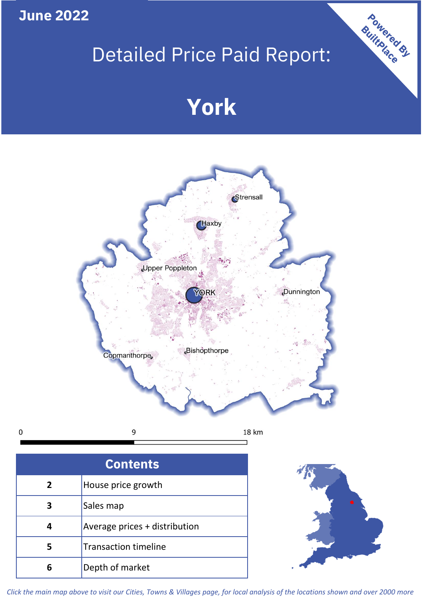### **June 2022**

 $\mathbf 0$ 

## Detailed Price Paid Report:

# **York**



| <b>Contents</b> |                               |  |  |
|-----------------|-------------------------------|--|--|
| $\overline{2}$  | House price growth            |  |  |
| 3               | Sales map                     |  |  |
| 4               | Average prices + distribution |  |  |
| 5               | <b>Transaction timeline</b>   |  |  |
| 6               | Depth of market               |  |  |



Powered By

*Click the main map above to visit our Cities, Towns & Villages page, for local analysis of the locations shown and over 2000 more*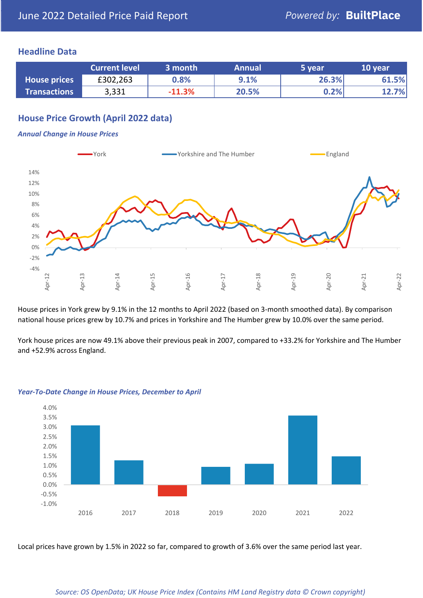#### **Headline Data**

|                     | <b>Current level</b> | 3 month  | <b>Annual</b> | '5 vear. | 10 year |
|---------------------|----------------------|----------|---------------|----------|---------|
| <b>House prices</b> | £302,263             | 0.8%     | 9.1%          | 26.3%    | 61.5%   |
| <b>Transactions</b> | 3,331                | $-11.3%$ | 20.5%         | 0.2%     | 12.7%   |

#### **House Price Growth (April 2022 data)**

#### *Annual Change in House Prices*



House prices in York grew by 9.1% in the 12 months to April 2022 (based on 3-month smoothed data). By comparison national house prices grew by 10.7% and prices in Yorkshire and The Humber grew by 10.0% over the same period.

York house prices are now 49.1% above their previous peak in 2007, compared to +33.2% for Yorkshire and The Humber and +52.9% across England.



#### *Year-To-Date Change in House Prices, December to April*

Local prices have grown by 1.5% in 2022 so far, compared to growth of 3.6% over the same period last year.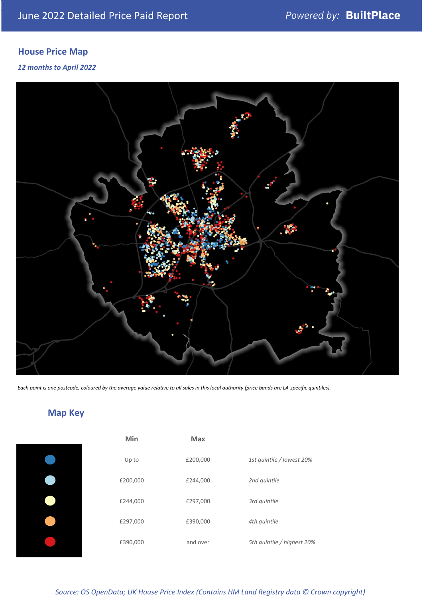### **House Price Map**

#### *12 months to April 2022*



*Each point is one postcode, coloured by the average value relative to all sales in this local authority (price bands are LA-specific quintiles).*

#### **Map Key**

| Min      | <b>Max</b> |                            |
|----------|------------|----------------------------|
| Up to    | £200,000   | 1st quintile / lowest 20%  |
| £200,000 | £244,000   | 2nd quintile               |
| £244,000 | £297,000   | 3rd quintile               |
| £297,000 | £390,000   | 4th quintile               |
| £390,000 | and over   | 5th quintile / highest 20% |
|          |            |                            |

*Source: OS OpenData; UK House Price Index (Contains HM Land Registry data © Crown copyright)*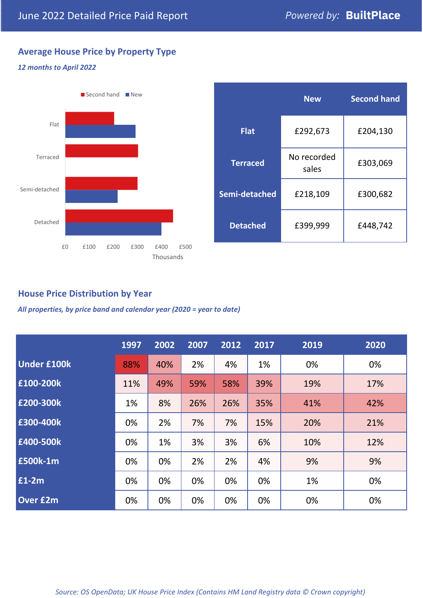#### **Average House Price by Property Type**

#### *12 months to April 2022*



|                 | <b>New</b>           | <b>Second hand</b> |  |  |
|-----------------|----------------------|--------------------|--|--|
| <b>Flat</b>     | £292,673             | £204,130           |  |  |
| <b>Terraced</b> | No recorded<br>sales | £303,069           |  |  |
| Semi-detached   | £218,109             | £300,682           |  |  |
| <b>Detached</b> | £399,999             | £448,742           |  |  |

#### **House Price Distribution by Year**

*All properties, by price band and calendar year (2020 = year to date)*

|                    | 1997 | 2002 | 2007 | 2012 | 2017 | 2019 | 2020 |
|--------------------|------|------|------|------|------|------|------|
| <b>Under £100k</b> | 88%  | 40%  | 2%   | 4%   | 1%   | 0%   | 0%   |
| £100-200k          | 11%  | 49%  | 59%  | 58%  | 39%  | 19%  | 17%  |
| £200-300k          | 1%   | 8%   | 26%  | 26%  | 35%  | 41%  | 42%  |
| £300-400k          | 0%   | 2%   | 7%   | 7%   | 15%  | 20%  | 21%  |
| £400-500k          | 0%   | 1%   | 3%   | 3%   | 6%   | 10%  | 12%  |
| <b>£500k-1m</b>    | 0%   | 0%   | 2%   | 2%   | 4%   | 9%   | 9%   |
| £1-2m              | 0%   | 0%   | 0%   | 0%   | 0%   | 1%   | 0%   |
| <b>Over £2m</b>    | 0%   | 0%   | 0%   | 0%   | 0%   | 0%   | 0%   |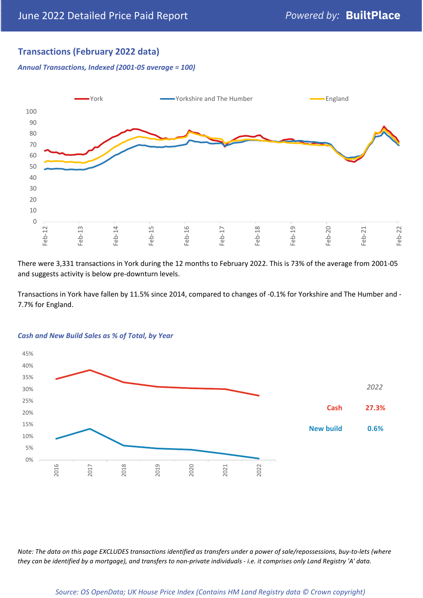#### **Transactions (February 2022 data)**

*Annual Transactions, Indexed (2001-05 average = 100)*



There were 3,331 transactions in York during the 12 months to February 2022. This is 73% of the average from 2001-05 and suggests activity is below pre-downturn levels.

Transactions in York have fallen by 11.5% since 2014, compared to changes of -0.1% for Yorkshire and The Humber and - 7.7% for England.



#### *Cash and New Build Sales as % of Total, by Year*

*Note: The data on this page EXCLUDES transactions identified as transfers under a power of sale/repossessions, buy-to-lets (where they can be identified by a mortgage), and transfers to non-private individuals - i.e. it comprises only Land Registry 'A' data.*